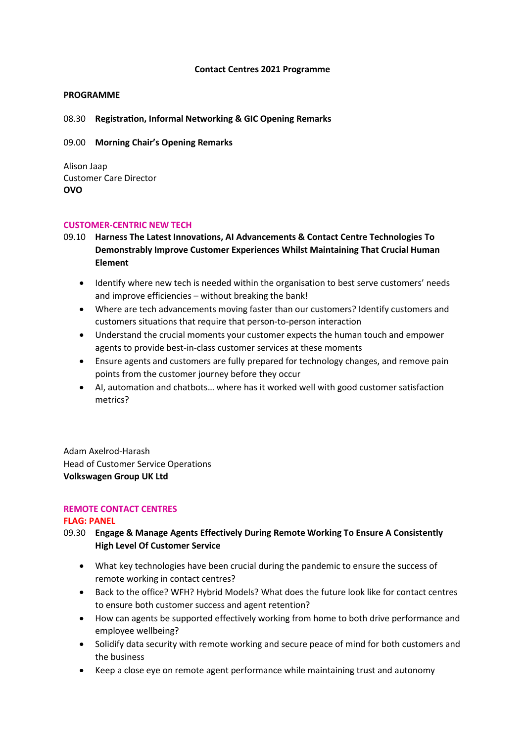#### **Contact Centres 2021 Programme**

## **PROGRAMME**

08.30 **Registration, Informal Networking & GIC Opening Remarks**

09.00 **Morning Chair's Opening Remarks**

Alison Jaap Customer Care Director **OVO**

#### **CUSTOMER-CENTRIC NEW TECH**

- 09.10 **Harness The Latest Innovations, AI Advancements & Contact Centre Technologies To Demonstrably Improve Customer Experiences Whilst Maintaining That Crucial Human Element**
	- Identify where new tech is needed within the organisation to best serve customers' needs and improve efficiencies – without breaking the bank!
	- Where are tech advancements moving faster than our customers? Identify customers and customers situations that require that person-to-person interaction
	- Understand the crucial moments your customer expects the human touch and empower agents to provide best-in-class customer services at these moments
	- Ensure agents and customers are fully prepared for technology changes, and remove pain points from the customer journey before they occur
	- AI, automation and chatbots… where has it worked well with good customer satisfaction metrics?

Adam Axelrod-Harash Head of Customer Service Operations **Volkswagen Group UK Ltd**

#### **REMOTE CONTACT CENTRES**

#### **FLAG: PANEL**

- 09.30 **Engage & Manage Agents Effectively During Remote Working To Ensure A Consistently High Level Of Customer Service**
	- What key technologies have been crucial during the pandemic to ensure the success of remote working in contact centres?
	- Back to the office? WFH? Hybrid Models? What does the future look like for contact centres to ensure both customer success and agent retention?
	- How can agents be supported effectively working from home to both drive performance and employee wellbeing?
	- Solidify data security with remote working and secure peace of mind for both customers and the business
	- Keep a close eye on remote agent performance while maintaining trust and autonomy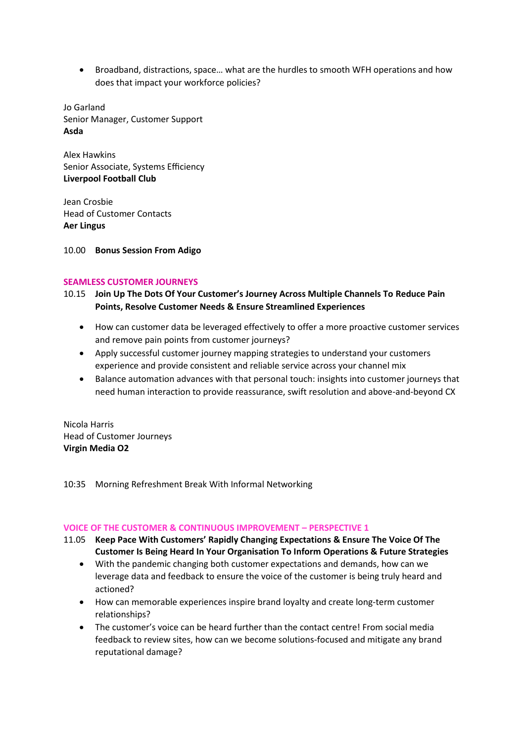• Broadband, distractions, space… what are the hurdles to smooth WFH operations and how does that impact your workforce policies?

Jo Garland Senior Manager, Customer Support **Asda**

Alex Hawkins Senior Associate, Systems Efficiency **Liverpool Football Club**

Jean Crosbie Head of Customer Contacts **Aer Lingus**

10.00 **Bonus Session From Adigo**

## **SEAMLESS CUSTOMER JOURNEYS**

- 10.15 **Join Up The Dots Of Your Customer's Journey Across Multiple Channels To Reduce Pain Points, Resolve Customer Needs & Ensure Streamlined Experiences** 
	- How can customer data be leveraged effectively to offer a more proactive customer services and remove pain points from customer journeys?
	- Apply successful customer journey mapping strategies to understand your customers experience and provide consistent and reliable service across your channel mix
	- Balance automation advances with that personal touch: insights into customer journeys that need human interaction to provide reassurance, swift resolution and above-and-beyond CX

Nicola Harris Head of Customer Journeys **Virgin Media O2** 

10:35 Morning Refreshment Break With Informal Networking

#### **VOICE OF THE CUSTOMER & CONTINUOUS IMPROVEMENT – PERSPECTIVE 1**

- 11.05 **Keep Pace With Customers' Rapidly Changing Expectations & Ensure The Voice Of The Customer Is Being Heard In Your Organisation To Inform Operations & Future Strategies**
	- With the pandemic changing both customer expectations and demands, how can we leverage data and feedback to ensure the voice of the customer is being truly heard and actioned?
	- How can memorable experiences inspire brand loyalty and create long-term customer relationships?
	- The customer's voice can be heard further than the contact centre! From social media feedback to review sites, how can we become solutions-focused and mitigate any brand reputational damage?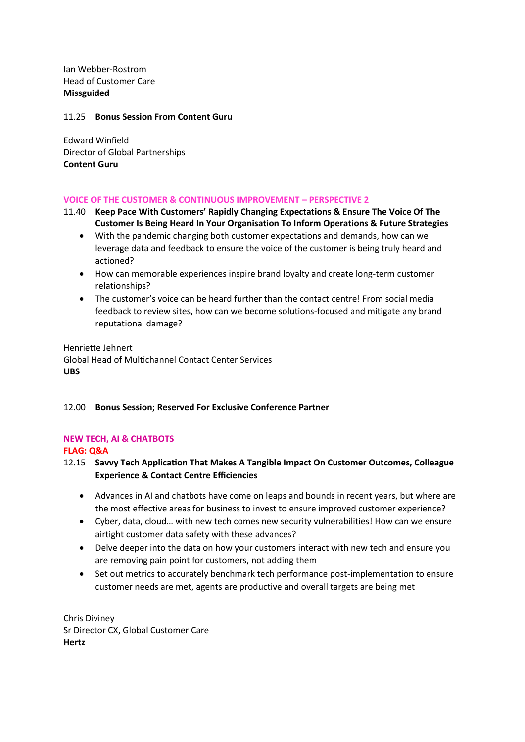Ian Webber-Rostrom Head of Customer Care **Missguided** 

## 11.25 **Bonus Session From Content Guru**

Edward Winfield Director of Global Partnerships **Content Guru**

## **VOICE OF THE CUSTOMER & CONTINUOUS IMPROVEMENT – PERSPECTIVE 2**

- 11.40 **Keep Pace With Customers' Rapidly Changing Expectations & Ensure The Voice Of The Customer Is Being Heard In Your Organisation To Inform Operations & Future Strategies**
	- With the pandemic changing both customer expectations and demands, how can we leverage data and feedback to ensure the voice of the customer is being truly heard and actioned?
	- How can memorable experiences inspire brand loyalty and create long-term customer relationships?
	- The customer's voice can be heard further than the contact centre! From social media feedback to review sites, how can we become solutions-focused and mitigate any brand reputational damage?

Henriette Jehnert Global Head of Multichannel Contact Center Services **UBS**

# 12.00 **Bonus Session; Reserved For Exclusive Conference Partner**

# **NEW TECH, AI & CHATBOTS**

**FLAG: Q&A**

- 12.15 **Savvy Tech Application That Makes A Tangible Impact On Customer Outcomes, Colleague Experience & Contact Centre Efficiencies**
	- Advances in AI and chatbots have come on leaps and bounds in recent years, but where are the most effective areas for business to invest to ensure improved customer experience?
	- Cyber, data, cloud… with new tech comes new security vulnerabilities! How can we ensure airtight customer data safety with these advances?
	- Delve deeper into the data on how your customers interact with new tech and ensure you are removing pain point for customers, not adding them
	- Set out metrics to accurately benchmark tech performance post-implementation to ensure customer needs are met, agents are productive and overall targets are being met

Chris Diviney Sr Director CX, Global Customer Care **Hertz**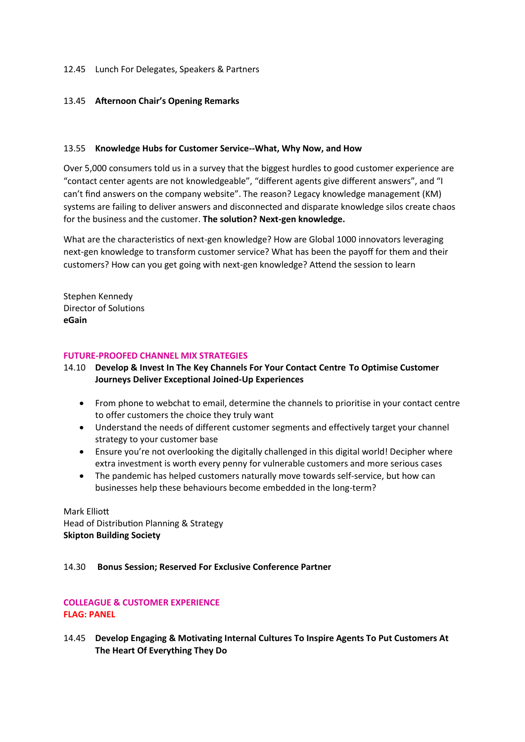#### 12.45 Lunch For Delegates, Speakers & Partners

#### 13.45 **Afternoon Chair's Opening Remarks**

#### 13.55 **Knowledge Hubs for Customer Service--What, Why Now, and How**

Over 5,000 consumers told us in a survey that the biggest hurdles to good customer experience are "contact center agents are not knowledgeable", "different agents give different answers", and "I can't find answers on the company website". The reason? Legacy knowledge management (KM) systems are failing to deliver answers and disconnected and disparate knowledge silos create chaos for the business and the customer. **The solution? Next-gen knowledge.**

What are the characteristics of next-gen knowledge? How are Global 1000 innovators leveraging next-gen knowledge to transform customer service? What has been the payoff for them and their customers? How can you get going with next-gen knowledge? Attend the session to learn

Stephen Kennedy Director of Solutions **eGain**

#### **FUTURE-PROOFED CHANNEL MIX STRATEGIES**

14.10 **Develop & Invest In The Key Channels For Your Contact Centre To Optimise Customer Journeys Deliver Exceptional Joined-Up Experiences**

- From phone to webchat to email, determine the channels to prioritise in your contact centre to offer customers the choice they truly want
- Understand the needs of different customer segments and effectively target your channel strategy to your customer base
- Ensure you're not overlooking the digitally challenged in this digital world! Decipher where extra investment is worth every penny for vulnerable customers and more serious cases
- The pandemic has helped customers naturally move towards self-service, but how can businesses help these behaviours become embedded in the long-term?

Mark Elliott Head of Distribution Planning & Strategy **Skipton Building Society**

#### 14.30 **Bonus Session; Reserved For Exclusive Conference Partner**

# **COLLEAGUE & CUSTOMER EXPERIENCE FLAG: PANEL**

14.45 **Develop Engaging & Motivating Internal Cultures To Inspire Agents To Put Customers At The Heart Of Everything They Do**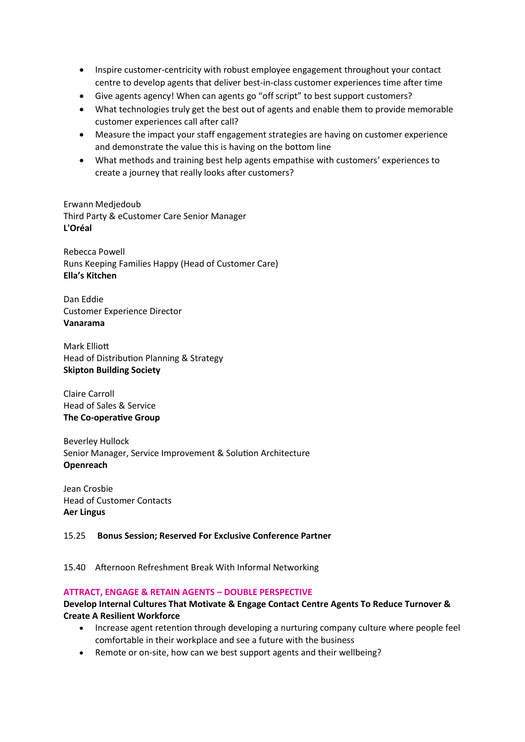- Inspire customer-centricity with robust employee engagement throughout your contact centre to develop agents that deliver best-in-class customer experiences time after time
- Give agents agency! When can agents go "off script" to best support customers?
- What technologies truly get the best out of agents and enable them to provide memorable customer experiences call after call?
- Measure the impact your staff engagement strategies are having on customer experience and demonstrate the value this is having on the bottom line
- What methods and training best help agents empathise with customers' experiences to create a journey that really looks after customers?

Erwann Medjedoub Third Party & eCustomer Care Senior Manager **L'Oréal**

Rebecca Powell Runs Keeping Families Happy (Head of Customer Care) **Ella's Kitchen**

Dan Eddie Customer Experience Director **Vanarama**

Mark Elliott Head of Distribution Planning & Strategy **Skipton Building Society**

Claire Carroll Head of Sales & Service **The Co-operative Group**

Beverley Hullock Senior Manager, Service Improvement & Solution Architecture **Openreach**

Jean Crosbie Head of Customer Contacts **Aer Lingus**

#### 15.25 **Bonus Session; Reserved For Exclusive Conference Partner**

15.40 Afternoon Refreshment Break With Informal Networking

#### **ATTRACT, ENGAGE & RETAIN AGENTS – DOUBLE PERSPECTIVE**

## **Develop Internal Cultures That Motivate & Engage Contact Centre Agents To Reduce Turnover & Create A Resilient Workforce**

- Increase agent retention through developing a nurturing company culture where people feel comfortable in their workplace and see a future with the business
- Remote or on-site, how can we best support agents and their wellbeing?